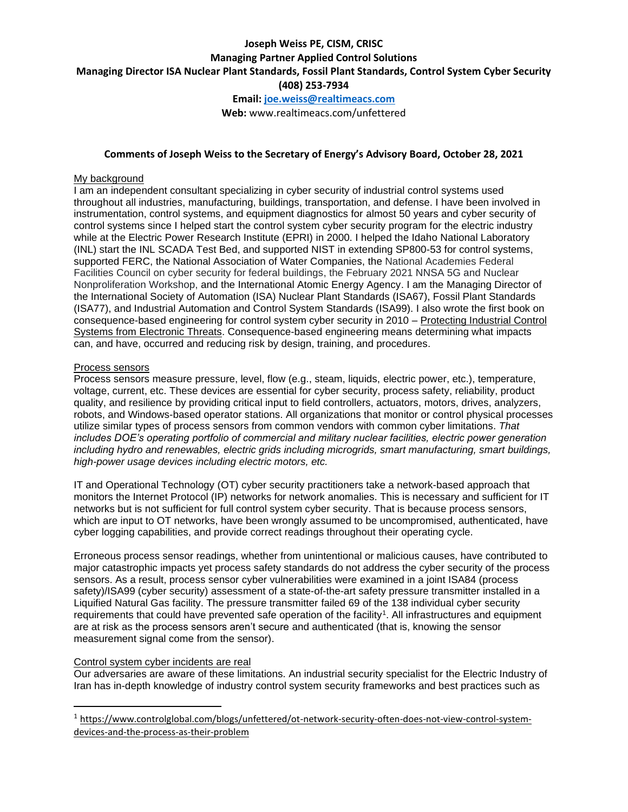# **Joseph Weiss PE, CISM, CRISC Managing Partner Applied Control Solutions Managing Director ISA Nuclear Plant Standards, Fossil Plant Standards, Control System Cyber Security (408) 253-7934 Email[: joe.weiss@realtimeacs.com](mailto:joe.weiss@realtimeacs.com)**

**Web:** www.realtimeacs.com/unfettered

#### **Comments of Joseph Weiss to the Secretary of Energy's Advisory Board, October 28, 2021**

#### My background

I am an independent consultant specializing in cyber security of industrial control systems used throughout all industries, manufacturing, buildings, transportation, and defense. I have been involved in instrumentation, control systems, and equipment diagnostics for almost 50 years and cyber security of control systems since I helped start the control system cyber security program for the electric industry while at the Electric Power Research Institute (EPRI) in 2000. I helped the Idaho National Laboratory (INL) start the INL SCADA Test Bed, and supported NIST in extending SP800-53 for control systems, supported FERC, the National Association of Water Companies, the National Academies Federal Facilities Council on cyber security for federal buildings, the February 2021 NNSA 5G and Nuclear Nonproliferation Workshop, and the International Atomic Energy Agency. I am the Managing Director of the International Society of Automation (ISA) Nuclear Plant Standards (ISA67), Fossil Plant Standards (ISA77), and Industrial Automation and Control System Standards (ISA99). I also wrote the first book on consequence-based engineering for control system cyber security in 2010 – Protecting Industrial Control Systems from Electronic Threats. Consequence-based engineering means determining what impacts can, and have, occurred and reducing risk by design, training, and procedures.

#### Process sensors

Process sensors measure pressure, level, flow (e.g., steam, liquids, electric power, etc.), temperature, voltage, current, etc. These devices are essential for cyber security, process safety, reliability, product quality, and resilience by providing critical input to field controllers, actuators, motors, drives, analyzers, robots, and Windows-based operator stations. All organizations that monitor or control physical processes utilize similar types of process sensors from common vendors with common cyber limitations. *That includes DOE's operating portfolio of commercial and military nuclear facilities, electric power generation including hydro and renewables, electric grids including microgrids, smart manufacturing, smart buildings, high-power usage devices including electric motors, etc.*

IT and Operational Technology (OT) cyber security practitioners take a network-based approach that monitors the Internet Protocol (IP) networks for network anomalies. This is necessary and sufficient for IT networks but is not sufficient for full control system cyber security. That is because process sensors, which are input to OT networks, have been wrongly assumed to be uncompromised, authenticated, have cyber logging capabilities, and provide correct readings throughout their operating cycle.

Erroneous process sensor readings, whether from unintentional or malicious causes, have contributed to major catastrophic impacts yet process safety standards do not address the cyber security of the process sensors. As a result, process sensor cyber vulnerabilities were examined in a joint ISA84 (process safety)/ISA99 (cyber security) assessment of a state-of-the-art safety pressure transmitter installed in a Liquified Natural Gas facility. The pressure transmitter failed 69 of the 138 individual cyber security requirements that could have prevented safe operation of the facility<sup>1</sup>. All infrastructures and equipment are at risk as the process sensors aren't secure and authenticated (that is, knowing the sensor measurement signal come from the sensor).

### Control system cyber incidents are real

Our adversaries are aware of these limitations. An industrial security specialist for the Electric Industry of Iran has in-depth knowledge of industry control system security frameworks and best practices such as

<sup>&</sup>lt;sup>1</sup> [https://www.controlglobal.com/blogs/unfettered/ot-network-security-often-does-not-view-control-system](https://www.controlglobal.com/blogs/unfettered/ot-network-security-often-does-not-view-control-system-devices-and-the-process-as-their-problem)[devices-and-the-process-as-their-problem](https://www.controlglobal.com/blogs/unfettered/ot-network-security-often-does-not-view-control-system-devices-and-the-process-as-their-problem)